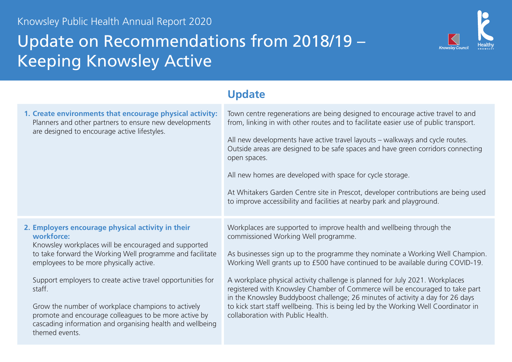## Update on Recommendations from 2018/19 – Keeping Knowsley Active



|                                                                                                                                                                                                                                                                                                                                                                                                                                                                                                        | <b>Update</b>                                                                                                                                                                                                                                                                                                                                                                                                                                                                                                                                                                                                                                                 |
|--------------------------------------------------------------------------------------------------------------------------------------------------------------------------------------------------------------------------------------------------------------------------------------------------------------------------------------------------------------------------------------------------------------------------------------------------------------------------------------------------------|---------------------------------------------------------------------------------------------------------------------------------------------------------------------------------------------------------------------------------------------------------------------------------------------------------------------------------------------------------------------------------------------------------------------------------------------------------------------------------------------------------------------------------------------------------------------------------------------------------------------------------------------------------------|
| 1. Create environments that encourage physical activity:<br>Planners and other partners to ensure new developments<br>are designed to encourage active lifestyles.                                                                                                                                                                                                                                                                                                                                     | Town centre regenerations are being designed to encourage active travel to and<br>from, linking in with other routes and to facilitate easier use of public transport.<br>All new developments have active travel layouts – walkways and cycle routes.<br>Outside areas are designed to be safe spaces and have green corridors connecting<br>open spaces.<br>All new homes are developed with space for cycle storage.<br>At Whitakers Garden Centre site in Prescot, developer contributions are being used<br>to improve accessibility and facilities at nearby park and playground.                                                                       |
| 2. Employers encourage physical activity in their<br>workforce:<br>Knowsley workplaces will be encouraged and supported<br>to take forward the Working Well programme and facilitate<br>employees to be more physically active.<br>Support employers to create active travel opportunities for<br>staff.<br>Grow the number of workplace champions to actively<br>promote and encourage colleagues to be more active by<br>cascading information and organising health and wellbeing<br>themed events. | Workplaces are supported to improve health and wellbeing through the<br>commissioned Working Well programme.<br>As businesses sign up to the programme they nominate a Working Well Champion.<br>Working Well grants up to £500 have continued to be available during COVID-19.<br>A workplace physical activity challenge is planned for July 2021. Workplaces<br>registered with Knowsley Chamber of Commerce will be encouraged to take part<br>in the Knowsley Buddyboost challenge; 26 minutes of activity a day for 26 days<br>to kick start staff wellbeing. This is being led by the Working Well Coordinator in<br>collaboration with Public Health. |